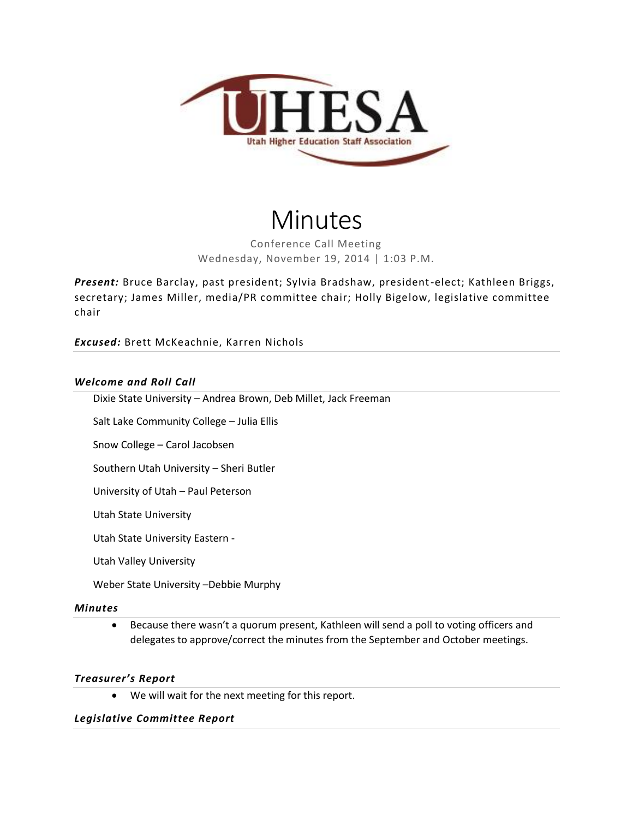

# Minutes

Conference Call Meeting Wednesday, November 19, 2014 | 1:03 P.M.

*Present:* Bruce Barclay, past president; Sylvia Bradshaw, president-elect; Kathleen Briggs, secretary; James Miller, media/PR committee chair; Holly Bigelow, legislative committee chair

*Excused:* Brett McKeachnie, Karren Nichols

### *Welcome and Roll Call*

Dixie State University – Andrea Brown, Deb Millet, Jack Freeman

Salt Lake Community College – Julia Ellis

Snow College – Carol Jacobsen

Southern Utah University – Sheri Butler

University of Utah – Paul Peterson

Utah State University

Utah State University Eastern -

Utah Valley University

Weber State University –Debbie Murphy

#### *Minutes*

 Because there wasn't a quorum present, Kathleen will send a poll to voting officers and delegates to approve/correct the minutes from the September and October meetings.

### *Treasurer's Report*

We will wait for the next meeting for this report.

### *Legislative Committee Report*